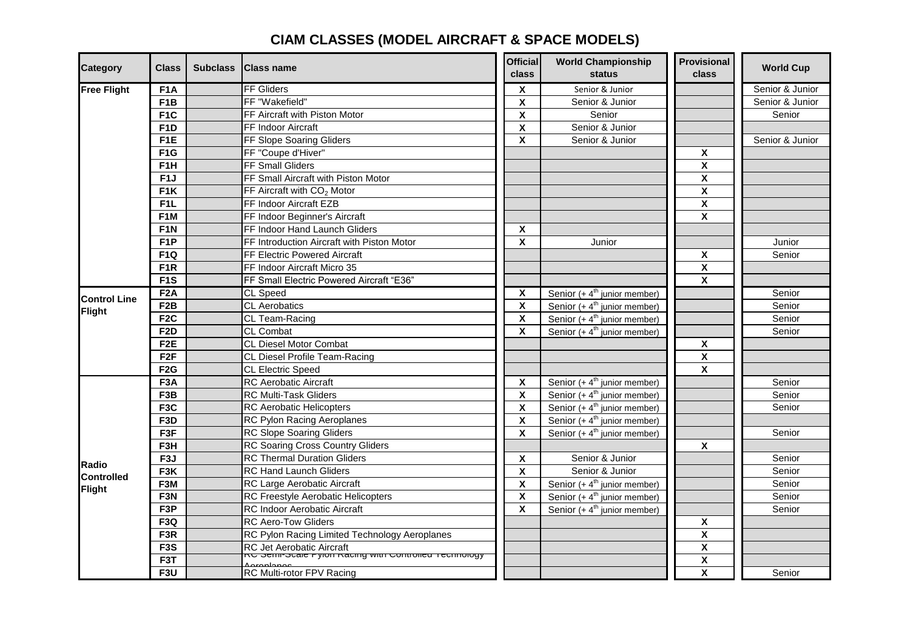## **CIAM CLASSES (MODEL AIRCRAFT & SPACE MODELS)**

| <b>Category</b>                      | <b>Class</b>     | Subclass   Class name                                  | <b>Official</b><br><b>class</b> | <b>World Championship</b><br>status | Provisional<br>class      | <b>World Cup</b> |
|--------------------------------------|------------------|--------------------------------------------------------|---------------------------------|-------------------------------------|---------------------------|------------------|
| <b>Free Flight</b>                   | F <sub>1</sub> A | <b>FF Gliders</b>                                      | X                               | Senior & Junior                     |                           | Senior & Junior  |
|                                      | F <sub>1</sub> B | FF "Wakefield"                                         | $\pmb{\mathsf{X}}$              | Senior & Junior                     |                           | Senior & Junior  |
|                                      | F <sub>1</sub> C | FF Aircraft with Piston Motor                          | $\boldsymbol{\mathsf{x}}$       | Senior                              |                           | Senior           |
|                                      | F <sub>1</sub> D | <b>FF Indoor Aircraft</b>                              | $\pmb{\mathsf{X}}$              | Senior & Junior                     |                           |                  |
|                                      | F <sub>1</sub> E | FF Slope Soaring Gliders                               | $\boldsymbol{\mathsf{x}}$       | Senior & Junior                     |                           | Senior & Junior  |
|                                      | F <sub>1</sub> G | FF "Coupe d'Hiver"                                     |                                 |                                     | X                         |                  |
|                                      | F <sub>1</sub> H | FF Small Gliders                                       |                                 |                                     | $\pmb{\mathsf{X}}$        |                  |
|                                      | F <sub>1</sub> J | FF Small Aircraft with Piston Motor                    |                                 |                                     | $\boldsymbol{\mathsf{X}}$ |                  |
|                                      | F <sub>1</sub> K | FF Aircraft with CO <sub>2</sub> Motor                 |                                 |                                     | $\pmb{\mathsf{X}}$        |                  |
|                                      | F <sub>1</sub> L | FF Indoor Aircraft EZB                                 |                                 |                                     | X                         |                  |
|                                      | F <sub>1</sub> M | FF Indoor Beginner's Aircraft                          |                                 |                                     | X                         |                  |
|                                      | F <sub>1</sub> N | FF Indoor Hand Launch Gliders                          | X                               |                                     |                           |                  |
|                                      | F <sub>1</sub> P | FF Introduction Aircraft with Piston Motor             | X                               | Junior                              |                           | Junior           |
|                                      | F <sub>1Q</sub>  | <b>FF Electric Powered Aircraft</b>                    |                                 |                                     | X                         | Senior           |
|                                      | F <sub>1</sub> R | FF Indoor Aircraft Micro 35                            |                                 |                                     | X                         |                  |
|                                      | F <sub>1</sub> S | FF Small Electric Powered Aircraft "E36"               |                                 |                                     | $\pmb{\mathsf{X}}$        |                  |
|                                      | F <sub>2</sub> A | CL Speed                                               | X                               | Senior $(+ 4th$ junior member)      |                           | Senior           |
| <b>Control Line</b>                  | F <sub>2</sub> B | <b>CL</b> Aerobatics                                   | X                               | Senior $(+ 4th$ junior member)      |                           | Senior           |
| Flight                               | F <sub>2</sub> C | CL Team-Racing                                         | $\pmb{\mathsf{X}}$              | Senior $(+ 4th$ junior member)      |                           | Senior           |
|                                      | F <sub>2</sub> D | CL Combat                                              | X                               | Senior $(+ 4th$ junior member)      |                           | Senior           |
|                                      | F <sub>2</sub> E | <b>CL Diesel Motor Combat</b>                          |                                 |                                     | X                         |                  |
|                                      | F <sub>2</sub> F | CL Diesel Profile Team-Racing                          |                                 |                                     | $\pmb{\mathsf{X}}$        |                  |
|                                      | F2G              | <b>CL Electric Speed</b>                               |                                 |                                     | X                         |                  |
| Radio<br><b>Controlled</b><br>Flight | F <sub>3</sub> A | <b>RC Aerobatic Aircraft</b>                           | $\pmb{\mathsf{X}}$              | Senior $(+ 4th$ junior member)      |                           | Senior           |
|                                      | F <sub>3</sub> B | <b>RC Multi-Task Gliders</b>                           | $\pmb{\mathsf{X}}$              | Senior $(+ 4th$ junior member)      |                           | Senior           |
|                                      | F <sub>3</sub> C | <b>RC Aerobatic Helicopters</b>                        | X                               | Senior $(+ 4th)$ junior member)     |                           | Senior           |
|                                      | F <sub>3</sub> D | RC Pylon Racing Aeroplanes                             | $\boldsymbol{\mathsf{X}}$       | Senior $(+ 4th$ junior member)      |                           |                  |
|                                      | F3F              | <b>RC Slope Soaring Gliders</b>                        | X                               | Senior $(+ 4th$ junior member)      |                           | Senior           |
|                                      | F3H              | <b>RC Soaring Cross Country Gliders</b>                |                                 |                                     | X                         |                  |
|                                      | F <sub>3</sub> J | <b>RC Thermal Duration Gliders</b>                     | X                               | Senior & Junior                     |                           | Senior           |
|                                      | F <sub>3</sub> K | RC Hand Launch Gliders                                 | $\pmb{\mathsf{X}}$              | Senior & Junior                     |                           | Senior           |
|                                      | F3M              | RC Large Aerobatic Aircraft                            | $\pmb{\mathsf{X}}$              | Senior $(+ 4th$ junior member)      |                           | Senior           |
|                                      | F <sub>3N</sub>  | RC Freestyle Aerobatic Helicopters                     | $\pmb{\mathsf{X}}$              | Senior $(+ 4th$ junior member)      |                           | Senior           |
|                                      | F <sub>3</sub> P | RC Indoor Aerobatic Aircraft                           | $\boldsymbol{\mathsf{x}}$       | Senior $(+ 4th$ junior member)      |                           | Senior           |
|                                      | F <sub>3Q</sub>  | <b>RC Aero-Tow Gliders</b>                             |                                 |                                     | X                         |                  |
|                                      | F <sub>3</sub> R | RC Pylon Racing Limited Technology Aeroplanes          |                                 |                                     | $\pmb{\mathsf{X}}$        |                  |
|                                      | F <sub>3</sub> S | RC Jet Aerobatic Aircraft                              |                                 |                                     | $\boldsymbol{\mathsf{X}}$ |                  |
|                                      | F3T              | RC Serin-Scare Pyron Racing with Controlled Technology |                                 |                                     | $\pmb{\mathsf{X}}$        |                  |
|                                      | F <sub>3</sub> U | RC Multi-rotor FPV Racing                              |                                 |                                     | X                         | Senior           |